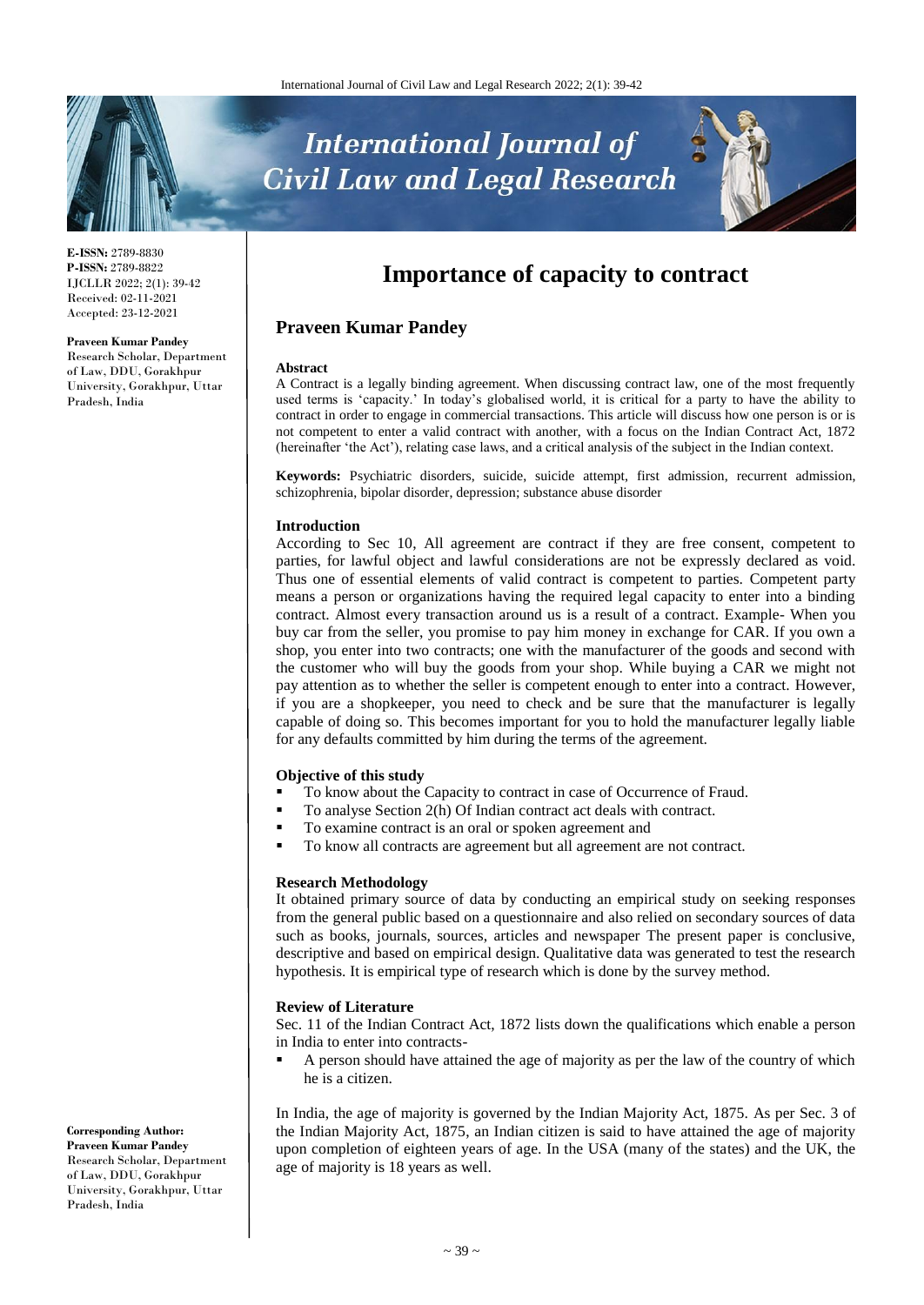# **International Journal of Civil Law and Legal Research**



**E-ISSN:** 2789-8830 **P-ISSN:** 2789-8822 IJCLLR 2022; 2(1): 39-42 Received: 02-11-2021 Accepted: 23-12-2021

#### **Praveen Kumar Pandey**

Research Scholar, Department of Law, DDU, Gorakhpur University, Gorakhpur, Uttar Pradesh, India

# **Importance of capacity to contract**

#### **Praveen Kumar Pandey**

#### **Abstract**

A Contract is a legally binding agreement. When discussing contract law, one of the most frequently used terms is 'capacity.' In today's globalised world, it is critical for a party to have the ability to contract in order to engage in commercial transactions. This article will discuss how one person is or is not competent to enter a valid contract with another, with a focus on the Indian Contract Act, 1872 (hereinafter 'the Act'), relating case laws, and a critical analysis of the subject in the Indian context.

**Keywords:** Psychiatric disorders, suicide, suicide attempt, first admission, recurrent admission, schizophrenia, bipolar disorder, depression; substance abuse disorder

#### **Introduction**

According to Sec 10, All agreement are contract if they are free consent, competent to parties, for lawful object and lawful considerations are not be expressly declared as void. Thus one of essential elements of valid contract is competent to parties. Competent party means a person or organizations having the required legal capacity to enter into a binding contract. Almost every transaction around us is a result of a contract. Example- When you buy car from the seller, you promise to pay him money in exchange for CAR. If you own a shop, you enter into two contracts; one with the manufacturer of the goods and second with the customer who will buy the goods from your shop. While buying a CAR we might not pay attention as to whether the seller is competent enough to enter into a contract. However, if you are a shopkeeper, you need to check and be sure that the manufacturer is legally capable of doing so. This becomes important for you to hold the manufacturer legally liable for any defaults committed by him during the terms of the agreement.

#### **Objective of this study**

- To know about the Capacity to contract in case of Occurrence of Fraud.
- To analyse Section 2(h) Of Indian contract act deals with contract.
	- To examine contract is an oral or spoken agreement and
- To know all contracts are agreement but all agreement are not contract.

#### **Research Methodology**

It obtained primary source of data by conducting an empirical study on seeking responses from the general public based on a questionnaire and also relied on secondary sources of data such as books, journals, sources, articles and newspaper The present paper is conclusive, descriptive and based on empirical design. Qualitative data was generated to test the research hypothesis. It is empirical type of research which is done by the survey method.

#### **Review of Literature**

Sec. 11 of the Indian Contract Act, 1872 lists down the qualifications which enable a person in India to enter into contracts-

 A person should have attained the age of majority as per the law of the country of which he is a citizen.

In India, the age of majority is governed by the Indian Majority Act, 1875. As per Sec. 3 of the Indian Majority Act, 1875, an Indian citizen is said to have attained the age of majority upon completion of eighteen years of age. In the USA (many of the states) and the UK, the age of majority is 18 years as well.

**Corresponding Author: Praveen Kumar Pandey** Research Scholar, Department of Law, DDU, Gorakhpur University, Gorakhpur, Uttar Pradesh, India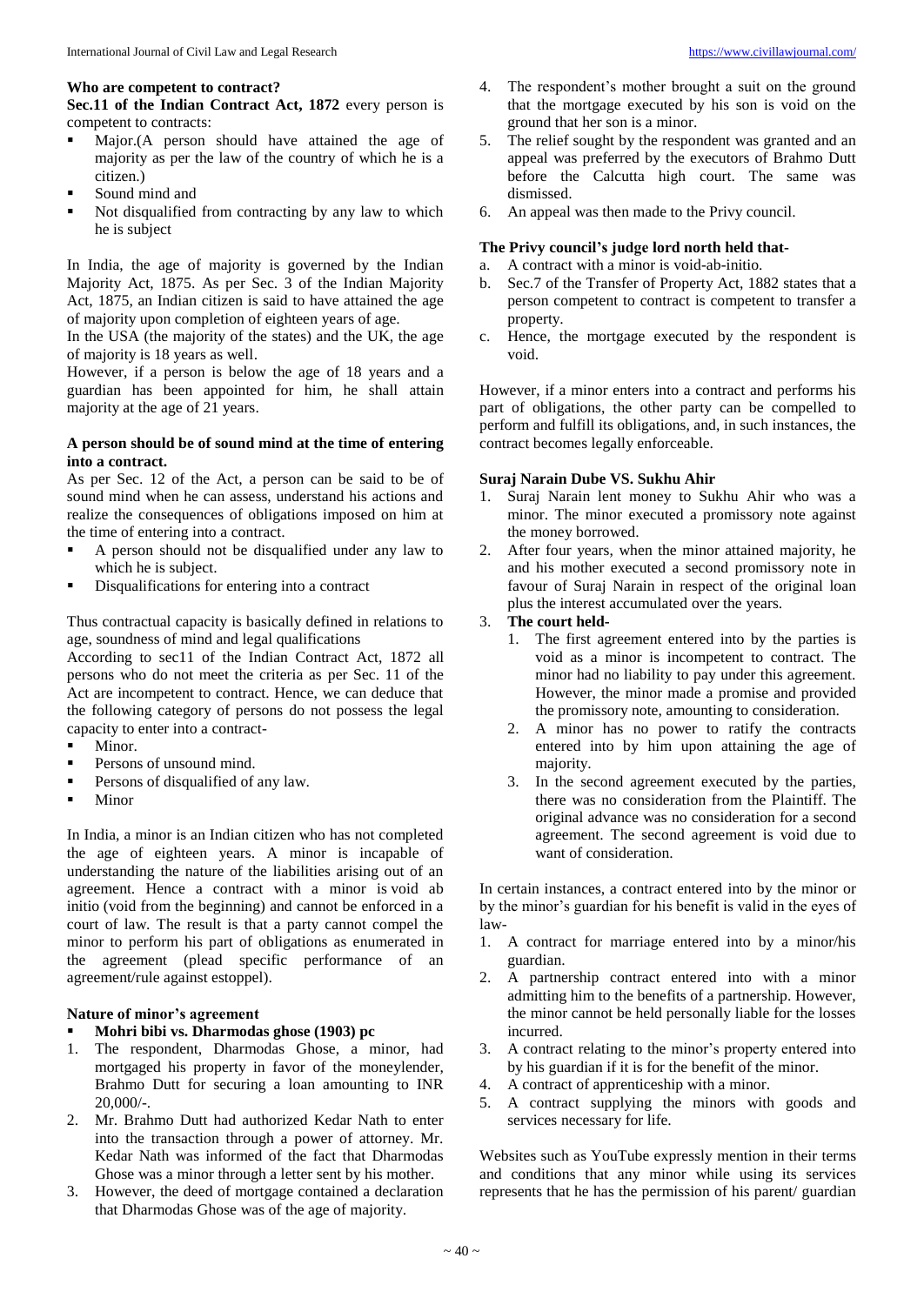## **Who are competent to contract?**

**Sec.11 of the Indian Contract Act, 1872** every person is competent to contracts:

- Major.(A person should have attained the age of majority as per the law of the country of which he is a citizen.)
- Sound mind and
- Not disqualified from contracting by any law to which he is subject

In India, the age of majority is governed by the Indian Majority Act, 1875. As per Sec. 3 of the Indian Majority Act, 1875, an Indian citizen is said to have attained the age of majority upon completion of eighteen years of age.

In the USA (the majority of the states) and the UK, the age of majority is 18 years as well.

However, if a person is below the age of 18 years and a guardian has been appointed for him, he shall attain majority at the age of 21 years.

#### **A person should be of sound mind at the time of entering into a contract.**

As per Sec. 12 of the Act, a person can be said to be of sound mind when he can assess, understand his actions and realize the consequences of obligations imposed on him at the time of entering into a contract.

- A person should not be disqualified under any law to which he is subject.
- Disqualifications for entering into a contract

Thus contractual capacity is basically defined in relations to age, soundness of mind and legal qualifications

According to sec11 of the Indian Contract Act, 1872 all persons who do not meet the criteria as per Sec. 11 of the Act are incompetent to contract. Hence, we can deduce that the following category of persons do not possess the legal capacity to enter into a contract-

- $\blacksquare$  Minor.
- Persons of unsound mind.
- Persons of disqualified of any law.
- **Minor**

In India, a minor is an Indian citizen who has not completed the age of eighteen years. A minor is incapable of understanding the nature of the liabilities arising out of an agreement. Hence a contract with a minor is void ab initio (void from the beginning) and cannot be enforced in a court of law. The result is that a party cannot compel the minor to perform his part of obligations as enumerated in the agreement (plead specific performance of an agreement/rule against estoppel).

# **Nature of minor's agreement**

# **Mohri bibi vs. Dharmodas ghose (1903) pc**

- 1. The respondent, Dharmodas Ghose, a minor, had mortgaged his property in favor of the moneylender, Brahmo Dutt for securing a loan amounting to INR 20,000/-.
- 2. Mr. Brahmo Dutt had authorized Kedar Nath to enter into the transaction through a power of attorney. Mr. Kedar Nath was informed of the fact that Dharmodas Ghose was a minor through a letter sent by his mother.
- 3. However, the deed of mortgage contained a declaration that Dharmodas Ghose was of the age of majority.
- 4. The respondent's mother brought a suit on the ground that the mortgage executed by his son is void on the ground that her son is a minor.
- 5. The relief sought by the respondent was granted and an appeal was preferred by the executors of Brahmo Dutt before the Calcutta high court. The same was dismissed.
- 6. An appeal was then made to the Privy council.

## **The Privy council's judge lord north held that-**

- a. A contract with a minor is void-ab-initio.
- b. Sec.7 of the Transfer of Property Act, 1882 states that a person competent to contract is competent to transfer a property.
- c. Hence, the mortgage executed by the respondent is void.

However, if a minor enters into a contract and performs his part of obligations, the other party can be compelled to perform and fulfill its obligations, and, in such instances, the contract becomes legally enforceable.

#### **Suraj Narain Dube VS. Sukhu Ahir**

- 1. Suraj Narain lent money to Sukhu Ahir who was a minor. The minor executed a promissory note against the money borrowed.
- 2. After four years, when the minor attained majority, he and his mother executed a second promissory note in favour of Suraj Narain in respect of the original loan plus the interest accumulated over the years.

# 3. **The court held-**

- 1. The first agreement entered into by the parties is void as a minor is incompetent to contract. The minor had no liability to pay under this agreement. However, the minor made a promise and provided the promissory note, amounting to consideration.
- 2. A minor has no power to ratify the contracts entered into by him upon attaining the age of majority.
- 3. In the second agreement executed by the parties, there was no consideration from the Plaintiff. The original advance was no consideration for a second agreement. The second agreement is void due to want of consideration.

In certain instances, a contract entered into by the minor or by the minor's guardian for his benefit is valid in the eyes of law-

- 1. A contract for marriage entered into by a minor/his guardian.
- 2. A partnership contract entered into with a minor admitting him to the benefits of a partnership. However, the minor cannot be held personally liable for the losses incurred.
- 3. A contract relating to the minor's property entered into by his guardian if it is for the benefit of the minor.
- 4. A contract of apprenticeship with a minor.
- 5. A contract supplying the minors with goods and services necessary for life.

Websites such as YouTube expressly mention in their terms and conditions that any minor while using its services represents that he has the permission of his parent/ guardian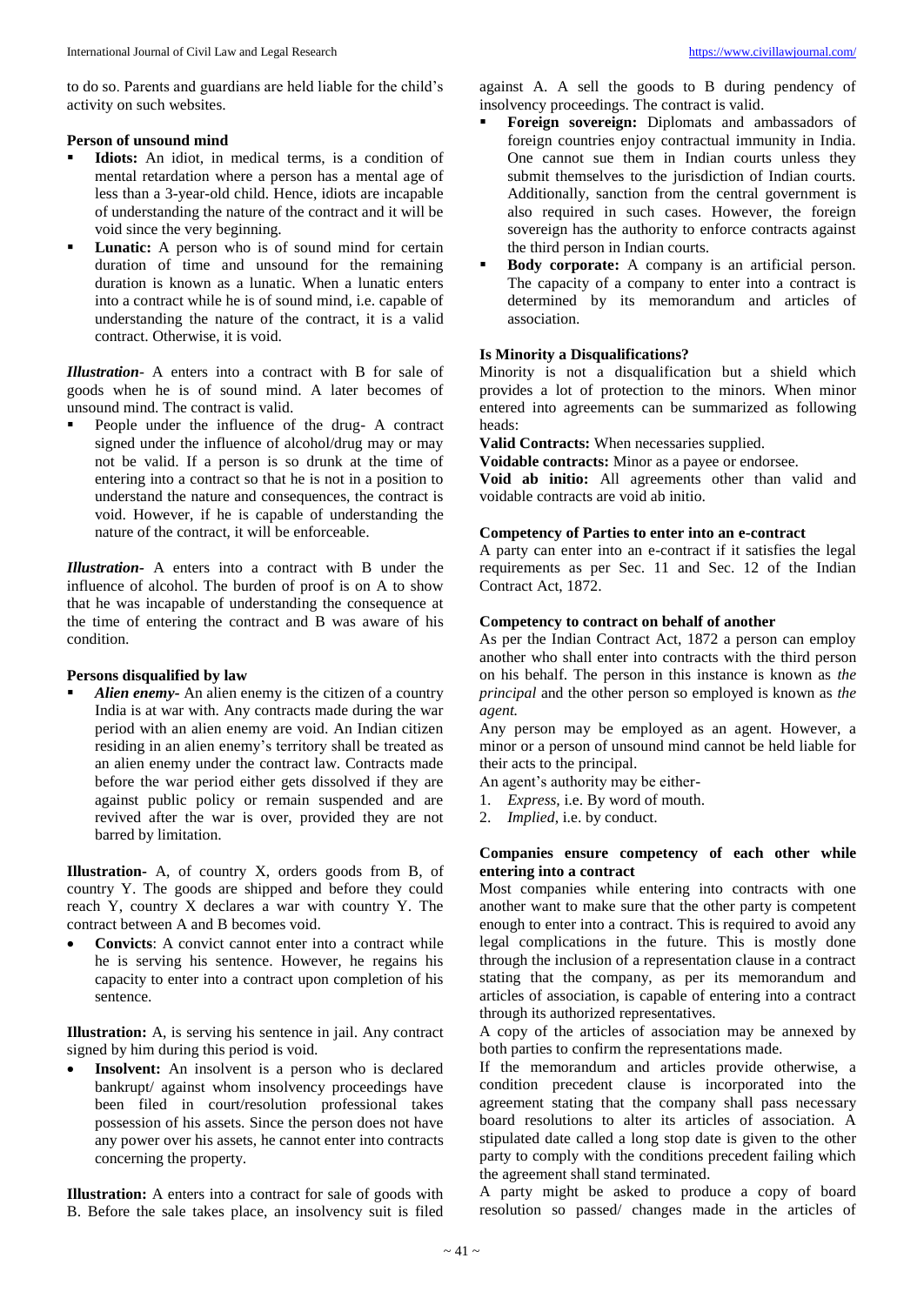to do so. Parents and guardians are held liable for the child's activity on such websites.

#### **Person of unsound mind**

- **Idiots:** An idiot, in medical terms, is a condition of mental retardation where a person has a mental age of less than a 3-year-old child. Hence, idiots are incapable of understanding the nature of the contract and it will be void since the very beginning.
- **Lunatic:** A person who is of sound mind for certain duration of time and unsound for the remaining duration is known as a lunatic. When a lunatic enters into a contract while he is of sound mind, i.e. capable of understanding the nature of the contract, it is a valid contract. Otherwise, it is void.

*Illustration*- A enters into a contract with B for sale of goods when he is of sound mind. A later becomes of unsound mind. The contract is valid.

 People under the influence of the drug- A contract signed under the influence of alcohol/drug may or may not be valid. If a person is so drunk at the time of entering into a contract so that he is not in a position to understand the nature and consequences, the contract is void. However, if he is capable of understanding the nature of the contract, it will be enforceable.

*Illustration-* A enters into a contract with B under the influence of alcohol. The burden of proof is on A to show that he was incapable of understanding the consequence at the time of entering the contract and B was aware of his condition.

#### **Persons disqualified by law**

 *Alien enemy-* An alien enemy is the citizen of a country India is at war with. Any contracts made during the war period with an alien enemy are void. An Indian citizen residing in an alien enemy's territory shall be treated as an alien enemy under the contract law. Contracts made before the war period either gets dissolved if they are against public policy or remain suspended and are revived after the war is over, provided they are not barred by limitation.

**Illustration-** A, of country X, orders goods from B, of country Y. The goods are shipped and before they could reach Y, country X declares a war with country Y. The contract between A and B becomes void.

 **Convicts**: A convict cannot enter into a contract while he is serving his sentence. However, he regains his capacity to enter into a contract upon completion of his sentence.

**Illustration:** A, is serving his sentence in jail. Any contract signed by him during this period is void.

 **Insolvent:** An insolvent is a person who is declared bankrupt/ against whom insolvency proceedings have been filed in court/resolution professional takes possession of his assets. Since the person does not have any power over his assets, he cannot enter into contracts concerning the property.

**Illustration:** A enters into a contract for sale of goods with B. Before the sale takes place, an insolvency suit is filed

against A. A sell the goods to B during pendency of insolvency proceedings. The contract is valid.

- **Foreign sovereign:** Diplomats and ambassadors of foreign countries enjoy contractual immunity in India. One cannot sue them in Indian courts unless they submit themselves to the jurisdiction of Indian courts. Additionally, sanction from the central government is also required in such cases. However, the foreign sovereign has the authority to enforce contracts against the third person in Indian courts.
- **Body corporate:** A company is an artificial person. The capacity of a company to enter into a contract is determined by its memorandum and articles of association.

# **Is Minority a Disqualifications?**

Minority is not a disqualification but a shield which provides a lot of protection to the minors. When minor entered into agreements can be summarized as following heads:

**Valid Contracts:** When necessaries supplied.

**Voidable contracts:** Minor as a payee or endorsee.

**Void ab initio:** All agreements other than valid and voidable contracts are void ab initio.

#### **Competency of Parties to enter into an e-contract**

A party can enter into an e-contract if it satisfies the legal requirements as per Sec. 11 and Sec. 12 of the Indian Contract Act, 1872.

#### **Competency to contract on behalf of another**

As per the Indian Contract Act, 1872 a person can employ another who shall enter into contracts with the third person on his behalf. The person in this instance is known as *the principal* and the other person so employed is known as *the agent.*

Any person may be employed as an agent. However, a minor or a person of unsound mind cannot be held liable for their acts to the principal.

- An agent's authority may be either-
- 1. *Express,* i.e. By word of mouth.
- 2. *Implied*, i.e. by conduct.

#### **Companies ensure competency of each other while entering into a contract**

Most companies while entering into contracts with one another want to make sure that the other party is competent enough to enter into a contract. This is required to avoid any legal complications in the future. This is mostly done through the inclusion of a representation clause in a contract stating that the company, as per its memorandum and articles of association, is capable of entering into a contract through its authorized representatives.

A copy of the articles of association may be annexed by both parties to confirm the representations made.

If the memorandum and articles provide otherwise, a condition precedent clause is incorporated into the agreement stating that the company shall pass necessary board resolutions to alter its articles of association. A stipulated date called a long stop date is given to the other party to comply with the conditions precedent failing which the agreement shall stand terminated.

A party might be asked to produce a copy of board resolution so passed/ changes made in the articles of